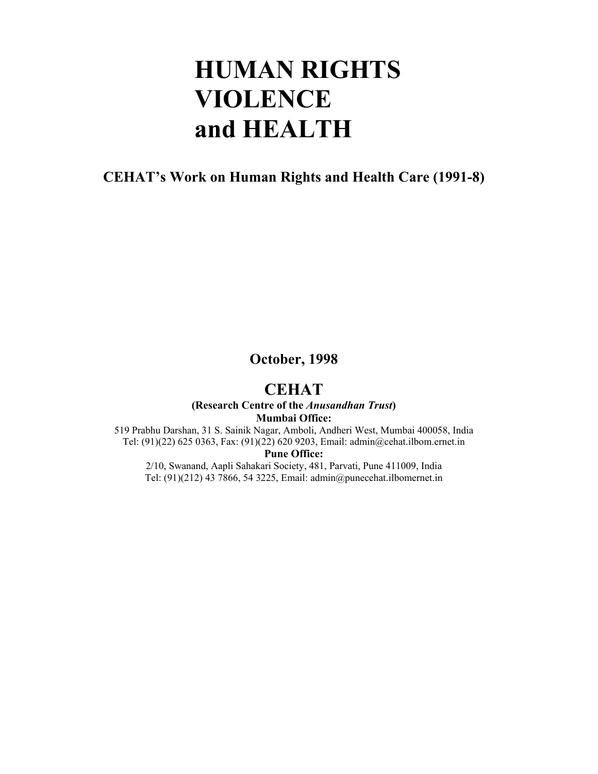# **HUMAN RIGHTS VIOLENCE and HEALTH**

### **CEHAT's Work on Human Rights and Health Care (1991-8)**

**October, 1998** 

### **CEHAT**

### **(Research Centre of the** *Anusandhan Trust***) Mumbai Office:**

519 Prabhu Darshan, 31 S. Sainik Nagar, Amboli, Andheri West, Mumbai 400058, India Tel: (91)(22) 625 0363, Fax: (91)(22) 620 9203, Email: admin@cehat.ilbom.ernet.in

### **Pune Office:**

2/10, Swanand, Aapli Sahakari Society, 481, Parvati, Pune 411009, India Tel: (91)(212) 43 7866, 54 3225, Email: admin@punecehat.ilbomernet.in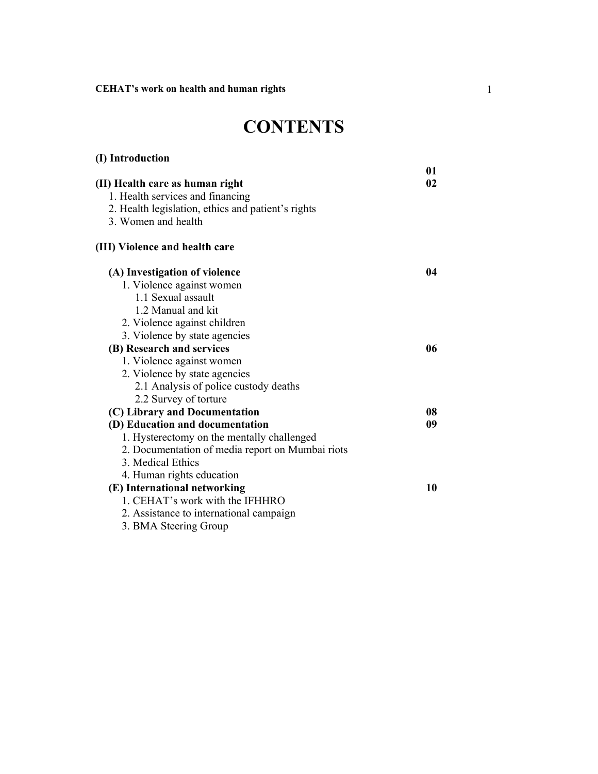**(I) Introduction** 

# **CONTENTS**

|                                                    | 01 |
|----------------------------------------------------|----|
| (II) Health care as human right                    | 02 |
| 1. Health services and financing                   |    |
| 2. Health legislation, ethics and patient's rights |    |
| 3. Women and health                                |    |
| (III) Violence and health care                     |    |
| (A) Investigation of violence                      | 04 |
| 1. Violence against women                          |    |
| 1.1 Sexual assault                                 |    |
| 1.2 Manual and kit                                 |    |
| 2. Violence against children                       |    |
| 3. Violence by state agencies                      |    |
| (B) Research and services                          | 06 |
| 1. Violence against women                          |    |
| 2. Violence by state agencies                      |    |
| 2.1 Analysis of police custody deaths              |    |
| 2.2 Survey of torture                              |    |
| (C) Library and Documentation                      | 08 |
| (D) Education and documentation                    | 09 |
| 1. Hysterectomy on the mentally challenged         |    |
| 2. Documentation of media report on Mumbai riots   |    |
| 3. Medical Ethics                                  |    |
| 4. Human rights education                          |    |
| (E) International networking                       | 10 |
| 1. CEHAT's work with the IFHHRO                    |    |
| 2. Assistance to international campaign            |    |
| 3. BMA Steering Group                              |    |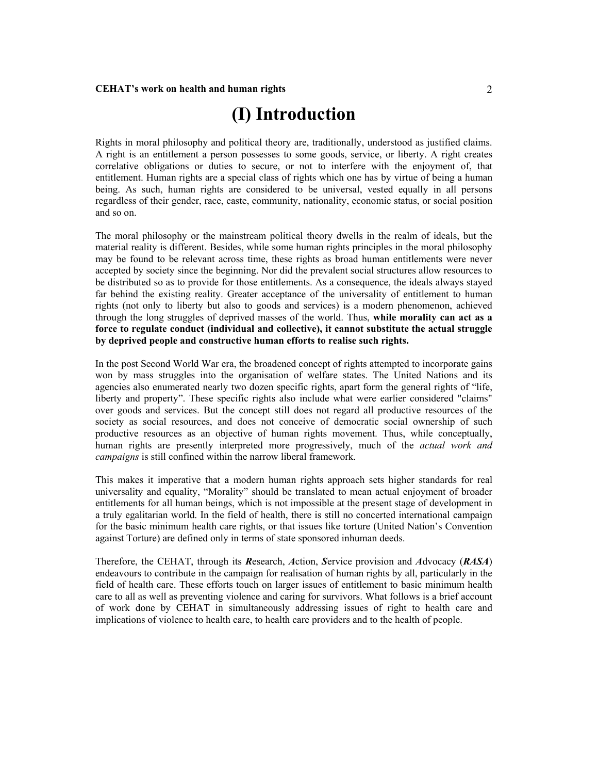# **(I) Introduction**

Rights in moral philosophy and political theory are, traditionally, understood as justified claims. A right is an entitlement a person possesses to some goods, service, or liberty. A right creates correlative obligations or duties to secure, or not to interfere with the enjoyment of, that entitlement. Human rights are a special class of rights which one has by virtue of being a human being. As such, human rights are considered to be universal, vested equally in all persons regardless of their gender, race, caste, community, nationality, economic status, or social position and so on.

The moral philosophy or the mainstream political theory dwells in the realm of ideals, but the material reality is different. Besides, while some human rights principles in the moral philosophy may be found to be relevant across time, these rights as broad human entitlements were never accepted by society since the beginning. Nor did the prevalent social structures allow resources to be distributed so as to provide for those entitlements. As a consequence, the ideals always stayed far behind the existing reality. Greater acceptance of the universality of entitlement to human rights (not only to liberty but also to goods and services) is a modern phenomenon, achieved through the long struggles of deprived masses of the world. Thus, **while morality can act as a force to regulate conduct (individual and collective), it cannot substitute the actual struggle by deprived people and constructive human efforts to realise such rights.** 

In the post Second World War era, the broadened concept of rights attempted to incorporate gains won by mass struggles into the organisation of welfare states. The United Nations and its agencies also enumerated nearly two dozen specific rights, apart form the general rights of "life, liberty and property". These specific rights also include what were earlier considered "claims" over goods and services. But the concept still does not regard all productive resources of the society as social resources, and does not conceive of democratic social ownership of such productive resources as an objective of human rights movement. Thus, while conceptually, human rights are presently interpreted more progressively, much of the *actual work and campaigns* is still confined within the narrow liberal framework.

This makes it imperative that a modern human rights approach sets higher standards for real universality and equality, "Morality" should be translated to mean actual enjoyment of broader entitlements for all human beings, which is not impossible at the present stage of development in a truly egalitarian world. In the field of health, there is still no concerted international campaign for the basic minimum health care rights, or that issues like torture (United Nation's Convention against Torture) are defined only in terms of state sponsored inhuman deeds.

Therefore, the CEHAT, through its *R*esearch, *A*ction, *S*ervice provision and *A*dvocacy (*RASA*) endeavours to contribute in the campaign for realisation of human rights by all, particularly in the field of health care. These efforts touch on larger issues of entitlement to basic minimum health care to all as well as preventing violence and caring for survivors. What follows is a brief account of work done by CEHAT in simultaneously addressing issues of right to health care and implications of violence to health care, to health care providers and to the health of people.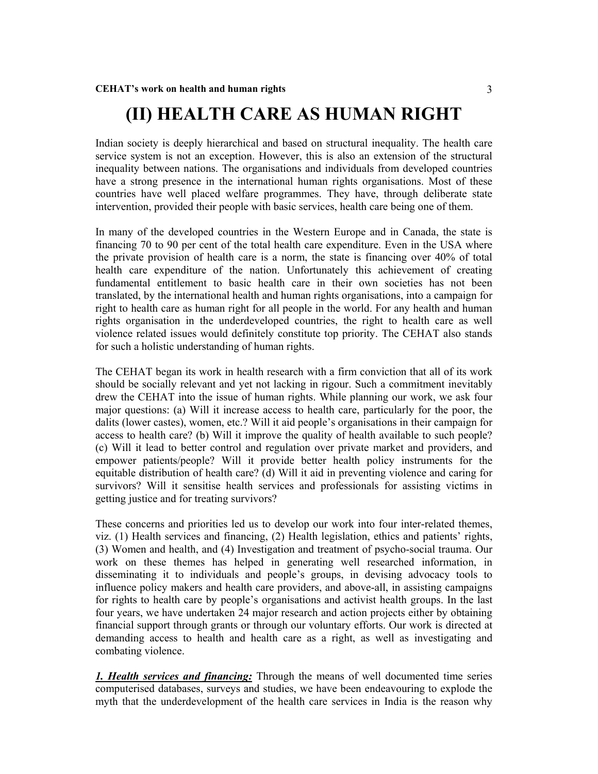## **(II) HEALTH CARE AS HUMAN RIGHT**

Indian society is deeply hierarchical and based on structural inequality. The health care service system is not an exception. However, this is also an extension of the structural inequality between nations. The organisations and individuals from developed countries have a strong presence in the international human rights organisations. Most of these countries have well placed welfare programmes. They have, through deliberate state intervention, provided their people with basic services, health care being one of them.

In many of the developed countries in the Western Europe and in Canada, the state is financing 70 to 90 per cent of the total health care expenditure. Even in the USA where the private provision of health care is a norm, the state is financing over 40% of total health care expenditure of the nation. Unfortunately this achievement of creating fundamental entitlement to basic health care in their own societies has not been translated, by the international health and human rights organisations, into a campaign for right to health care as human right for all people in the world. For any health and human rights organisation in the underdeveloped countries, the right to health care as well violence related issues would definitely constitute top priority. The CEHAT also stands for such a holistic understanding of human rights.

The CEHAT began its work in health research with a firm conviction that all of its work should be socially relevant and yet not lacking in rigour. Such a commitment inevitably drew the CEHAT into the issue of human rights. While planning our work, we ask four major questions: (a) Will it increase access to health care, particularly for the poor, the dalits (lower castes), women, etc.? Will it aid people's organisations in their campaign for access to health care? (b) Will it improve the quality of health available to such people? (c) Will it lead to better control and regulation over private market and providers, and empower patients/people? Will it provide better health policy instruments for the equitable distribution of health care? (d) Will it aid in preventing violence and caring for survivors? Will it sensitise health services and professionals for assisting victims in getting justice and for treating survivors?

These concerns and priorities led us to develop our work into four inter-related themes, viz. (1) Health services and financing, (2) Health legislation, ethics and patients' rights, (3) Women and health, and (4) Investigation and treatment of psycho-social trauma. Our work on these themes has helped in generating well researched information, in disseminating it to individuals and people's groups, in devising advocacy tools to influence policy makers and health care providers, and above-all, in assisting campaigns for rights to health care by people's organisations and activist health groups. In the last four years, we have undertaken 24 major research and action projects either by obtaining financial support through grants or through our voluntary efforts. Our work is directed at demanding access to health and health care as a right, as well as investigating and combating violence.

*1. Health services and financing:* Through the means of well documented time series computerised databases, surveys and studies, we have been endeavouring to explode the myth that the underdevelopment of the health care services in India is the reason why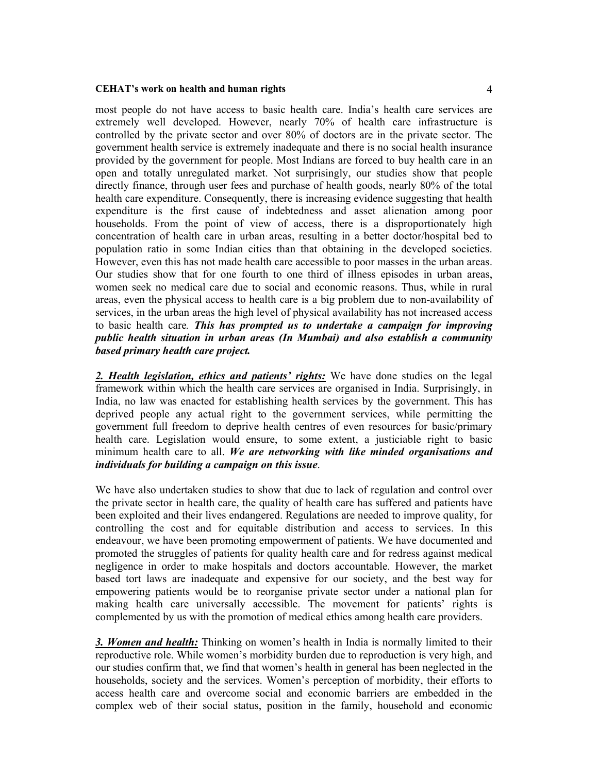most people do not have access to basic health care. India's health care services are extremely well developed. However, nearly 70% of health care infrastructure is controlled by the private sector and over 80% of doctors are in the private sector. The government health service is extremely inadequate and there is no social health insurance provided by the government for people. Most Indians are forced to buy health care in an open and totally unregulated market. Not surprisingly, our studies show that people directly finance, through user fees and purchase of health goods, nearly 80% of the total health care expenditure. Consequently, there is increasing evidence suggesting that health expenditure is the first cause of indebtedness and asset alienation among poor households. From the point of view of access, there is a disproportionately high concentration of health care in urban areas, resulting in a better doctor/hospital bed to population ratio in some Indian cities than that obtaining in the developed societies. However, even this has not made health care accessible to poor masses in the urban areas. Our studies show that for one fourth to one third of illness episodes in urban areas, women seek no medical care due to social and economic reasons. Thus, while in rural areas, even the physical access to health care is a big problem due to non-availability of services, in the urban areas the high level of physical availability has not increased access to basic health care*. This has prompted us to undertake a campaign for improving public health situation in urban areas (In Mumbai) and also establish a community based primary health care project.*

*2. Health legislation, ethics and patients' rights:* We have done studies on the legal framework within which the health care services are organised in India. Surprisingly, in India, no law was enacted for establishing health services by the government. This has deprived people any actual right to the government services, while permitting the government full freedom to deprive health centres of even resources for basic/primary health care. Legislation would ensure, to some extent, a justiciable right to basic minimum health care to all. *We are networking with like minded organisations and individuals for building a campaign on this issue*.

We have also undertaken studies to show that due to lack of regulation and control over the private sector in health care, the quality of health care has suffered and patients have been exploited and their lives endangered. Regulations are needed to improve quality, for controlling the cost and for equitable distribution and access to services. In this endeavour, we have been promoting empowerment of patients. We have documented and promoted the struggles of patients for quality health care and for redress against medical negligence in order to make hospitals and doctors accountable. However, the market based tort laws are inadequate and expensive for our society, and the best way for empowering patients would be to reorganise private sector under a national plan for making health care universally accessible. The movement for patients' rights is complemented by us with the promotion of medical ethics among health care providers.

*3. Women and health:* Thinking on women's health in India is normally limited to their reproductive role. While women's morbidity burden due to reproduction is very high, and our studies confirm that, we find that women's health in general has been neglected in the households, society and the services. Women's perception of morbidity, their efforts to access health care and overcome social and economic barriers are embedded in the complex web of their social status, position in the family, household and economic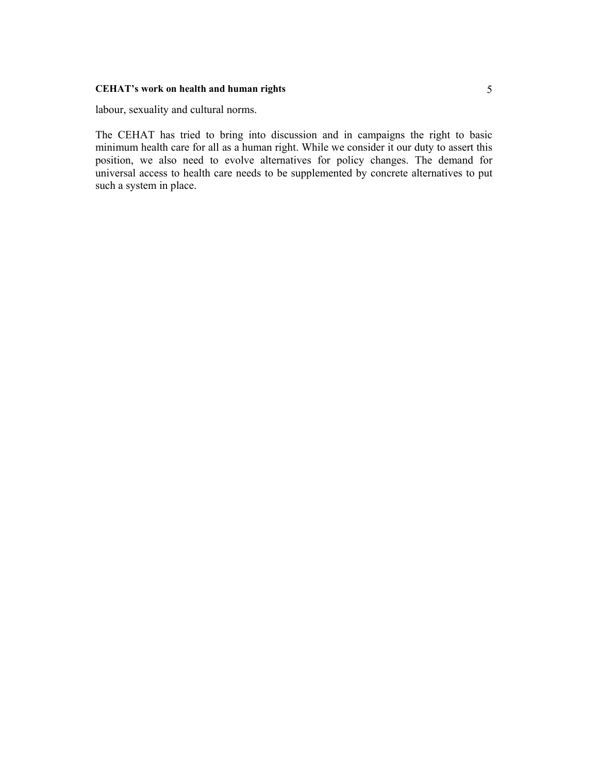labour, sexuality and cultural norms.

The CEHAT has tried to bring into discussion and in campaigns the right to basic minimum health care for all as a human right. While we consider it our duty to assert this position, we also need to evolve alternatives for policy changes. The demand for universal access to health care needs to be supplemented by concrete alternatives to put such a system in place.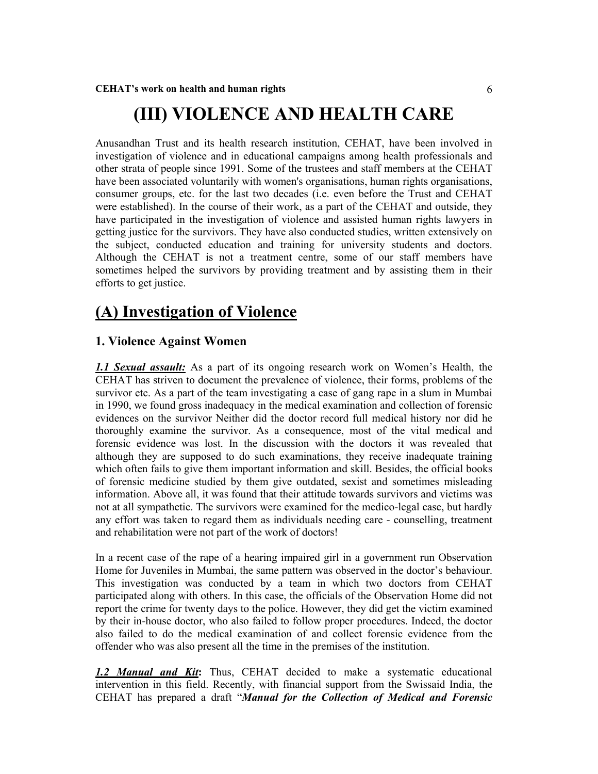# **(III) VIOLENCE AND HEALTH CARE**

Anusandhan Trust and its health research institution, CEHAT, have been involved in investigation of violence and in educational campaigns among health professionals and other strata of people since 1991. Some of the trustees and staff members at the CEHAT have been associated voluntarily with women's organisations, human rights organisations, consumer groups, etc. for the last two decades (i.e. even before the Trust and CEHAT were established). In the course of their work, as a part of the CEHAT and outside, they have participated in the investigation of violence and assisted human rights lawyers in getting justice for the survivors. They have also conducted studies, written extensively on the subject, conducted education and training for university students and doctors. Although the CEHAT is not a treatment centre, some of our staff members have sometimes helped the survivors by providing treatment and by assisting them in their efforts to get justice.

### **(A) Investigation of Violence**

### **1. Violence Against Women**

*1.1 Sexual assault:* As a part of its ongoing research work on Women's Health, the CEHAT has striven to document the prevalence of violence, their forms, problems of the survivor etc. As a part of the team investigating a case of gang rape in a slum in Mumbai in 1990, we found gross inadequacy in the medical examination and collection of forensic evidences on the survivor Neither did the doctor record full medical history nor did he thoroughly examine the survivor. As a consequence, most of the vital medical and forensic evidence was lost. In the discussion with the doctors it was revealed that although they are supposed to do such examinations, they receive inadequate training which often fails to give them important information and skill. Besides, the official books of forensic medicine studied by them give outdated, sexist and sometimes misleading information. Above all, it was found that their attitude towards survivors and victims was not at all sympathetic. The survivors were examined for the medico-legal case, but hardly any effort was taken to regard them as individuals needing care - counselling, treatment and rehabilitation were not part of the work of doctors!

In a recent case of the rape of a hearing impaired girl in a government run Observation Home for Juveniles in Mumbai, the same pattern was observed in the doctor's behaviour. This investigation was conducted by a team in which two doctors from CEHAT participated along with others. In this case, the officials of the Observation Home did not report the crime for twenty days to the police. However, they did get the victim examined by their in-house doctor, who also failed to follow proper procedures. Indeed, the doctor also failed to do the medical examination of and collect forensic evidence from the offender who was also present all the time in the premises of the institution.

*1.2 Manual and Kit***:** Thus, CEHAT decided to make a systematic educational intervention in this field. Recently, with financial support from the Swissaid India, the CEHAT has prepared a draft "*Manual for the Collection of Medical and Forensic*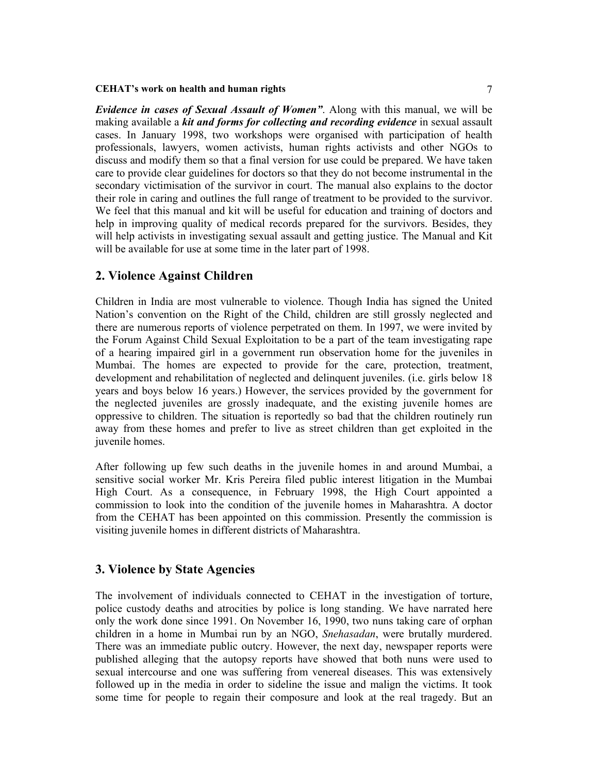*Evidence in cases of Sexual Assault of Women"*. Along with this manual, we will be making available a *kit and forms for collecting and recording evidence* in sexual assault cases. In January 1998, two workshops were organised with participation of health professionals, lawyers, women activists, human rights activists and other NGOs to discuss and modify them so that a final version for use could be prepared. We have taken care to provide clear guidelines for doctors so that they do not become instrumental in the secondary victimisation of the survivor in court. The manual also explains to the doctor their role in caring and outlines the full range of treatment to be provided to the survivor. We feel that this manual and kit will be useful for education and training of doctors and help in improving quality of medical records prepared for the survivors. Besides, they will help activists in investigating sexual assault and getting justice. The Manual and Kit will be available for use at some time in the later part of 1998.

### **2. Violence Against Children**

Children in India are most vulnerable to violence. Though India has signed the United Nation's convention on the Right of the Child, children are still grossly neglected and there are numerous reports of violence perpetrated on them. In 1997, we were invited by the Forum Against Child Sexual Exploitation to be a part of the team investigating rape of a hearing impaired girl in a government run observation home for the juveniles in Mumbai. The homes are expected to provide for the care, protection, treatment, development and rehabilitation of neglected and delinquent juveniles. (i.e. girls below 18 years and boys below 16 years.) However, the services provided by the government for the neglected juveniles are grossly inadequate, and the existing juvenile homes are oppressive to children. The situation is reportedly so bad that the children routinely run away from these homes and prefer to live as street children than get exploited in the juvenile homes.

After following up few such deaths in the juvenile homes in and around Mumbai, a sensitive social worker Mr. Kris Pereira filed public interest litigation in the Mumbai High Court. As a consequence, in February 1998, the High Court appointed a commission to look into the condition of the juvenile homes in Maharashtra. A doctor from the CEHAT has been appointed on this commission. Presently the commission is visiting juvenile homes in different districts of Maharashtra.

### **3. Violence by State Agencies**

The involvement of individuals connected to CEHAT in the investigation of torture, police custody deaths and atrocities by police is long standing. We have narrated here only the work done since 1991. On November 16, 1990, two nuns taking care of orphan children in a home in Mumbai run by an NGO, *Snehasadan*, were brutally murdered. There was an immediate public outcry. However, the next day, newspaper reports were published alleging that the autopsy reports have showed that both nuns were used to sexual intercourse and one was suffering from venereal diseases. This was extensively followed up in the media in order to sideline the issue and malign the victims. It took some time for people to regain their composure and look at the real tragedy. But an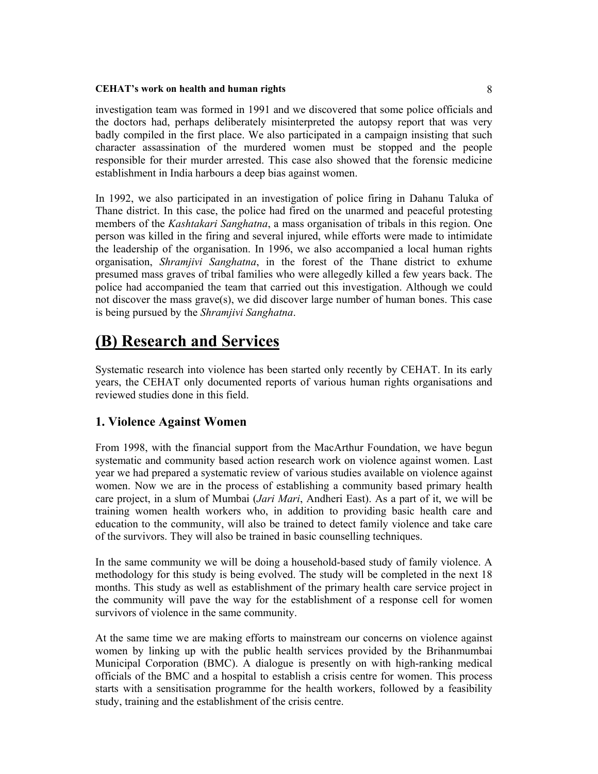investigation team was formed in 1991 and we discovered that some police officials and the doctors had, perhaps deliberately misinterpreted the autopsy report that was very badly compiled in the first place. We also participated in a campaign insisting that such character assassination of the murdered women must be stopped and the people responsible for their murder arrested. This case also showed that the forensic medicine establishment in India harbours a deep bias against women.

In 1992, we also participated in an investigation of police firing in Dahanu Taluka of Thane district. In this case, the police had fired on the unarmed and peaceful protesting members of the *Kashtakari Sanghatna*, a mass organisation of tribals in this region. One person was killed in the firing and several injured, while efforts were made to intimidate the leadership of the organisation. In 1996, we also accompanied a local human rights organisation, *Shramjivi Sanghatna*, in the forest of the Thane district to exhume presumed mass graves of tribal families who were allegedly killed a few years back. The police had accompanied the team that carried out this investigation. Although we could not discover the mass grave(s), we did discover large number of human bones. This case is being pursued by the *Shramjivi Sanghatna*.

# **(B) Research and Services**

Systematic research into violence has been started only recently by CEHAT. In its early years, the CEHAT only documented reports of various human rights organisations and reviewed studies done in this field.

### **1. Violence Against Women**

From 1998, with the financial support from the MacArthur Foundation, we have begun systematic and community based action research work on violence against women. Last year we had prepared a systematic review of various studies available on violence against women. Now we are in the process of establishing a community based primary health care project, in a slum of Mumbai (*Jari Mari*, Andheri East). As a part of it, we will be training women health workers who, in addition to providing basic health care and education to the community, will also be trained to detect family violence and take care of the survivors. They will also be trained in basic counselling techniques.

In the same community we will be doing a household-based study of family violence. A methodology for this study is being evolved. The study will be completed in the next 18 months. This study as well as establishment of the primary health care service project in the community will pave the way for the establishment of a response cell for women survivors of violence in the same community.

At the same time we are making efforts to mainstream our concerns on violence against women by linking up with the public health services provided by the Brihanmumbai Municipal Corporation (BMC). A dialogue is presently on with high-ranking medical officials of the BMC and a hospital to establish a crisis centre for women. This process starts with a sensitisation programme for the health workers, followed by a feasibility study, training and the establishment of the crisis centre.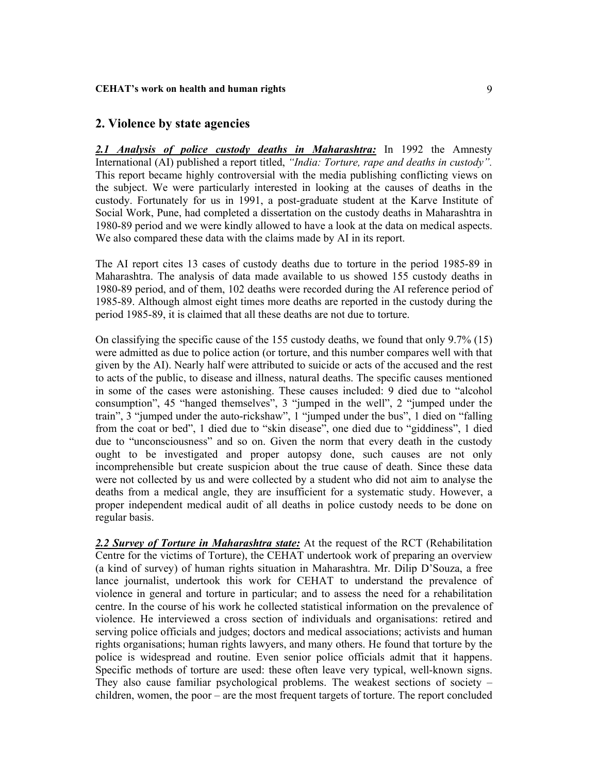### **2. Violence by state agencies**

*2.1 Analysis of police custody deaths in Maharashtra:* In 1992 the Amnesty International (AI) published a report titled, *"India: Torture, rape and deaths in custody".* This report became highly controversial with the media publishing conflicting views on the subject. We were particularly interested in looking at the causes of deaths in the custody. Fortunately for us in 1991, a post-graduate student at the Karve Institute of Social Work, Pune, had completed a dissertation on the custody deaths in Maharashtra in 1980-89 period and we were kindly allowed to have a look at the data on medical aspects. We also compared these data with the claims made by AI in its report.

The AI report cites 13 cases of custody deaths due to torture in the period 1985-89 in Maharashtra. The analysis of data made available to us showed 155 custody deaths in 1980-89 period, and of them, 102 deaths were recorded during the AI reference period of 1985-89. Although almost eight times more deaths are reported in the custody during the period 1985-89, it is claimed that all these deaths are not due to torture.

On classifying the specific cause of the 155 custody deaths, we found that only 9.7% (15) were admitted as due to police action (or torture, and this number compares well with that given by the AI). Nearly half were attributed to suicide or acts of the accused and the rest to acts of the public, to disease and illness, natural deaths. The specific causes mentioned in some of the cases were astonishing. These causes included: 9 died due to "alcohol consumption", 45 "hanged themselves", 3 "jumped in the well", 2 "jumped under the train", 3 "jumped under the auto-rickshaw", 1 "jumped under the bus", 1 died on "falling from the coat or bed", 1 died due to "skin disease", one died due to "giddiness", 1 died due to "unconsciousness" and so on. Given the norm that every death in the custody ought to be investigated and proper autopsy done, such causes are not only incomprehensible but create suspicion about the true cause of death. Since these data were not collected by us and were collected by a student who did not aim to analyse the deaths from a medical angle, they are insufficient for a systematic study. However, a proper independent medical audit of all deaths in police custody needs to be done on regular basis.

*2.2 Survey of Torture in Maharashtra state:* At the request of the RCT (Rehabilitation Centre for the victims of Torture), the CEHAT undertook work of preparing an overview (a kind of survey) of human rights situation in Maharashtra. Mr. Dilip D'Souza, a free lance journalist, undertook this work for CEHAT to understand the prevalence of violence in general and torture in particular; and to assess the need for a rehabilitation centre. In the course of his work he collected statistical information on the prevalence of violence. He interviewed a cross section of individuals and organisations: retired and serving police officials and judges; doctors and medical associations; activists and human rights organisations; human rights lawyers, and many others. He found that torture by the police is widespread and routine. Even senior police officials admit that it happens. Specific methods of torture are used: these often leave very typical, well-known signs. They also cause familiar psychological problems. The weakest sections of society – children, women, the poor – are the most frequent targets of torture. The report concluded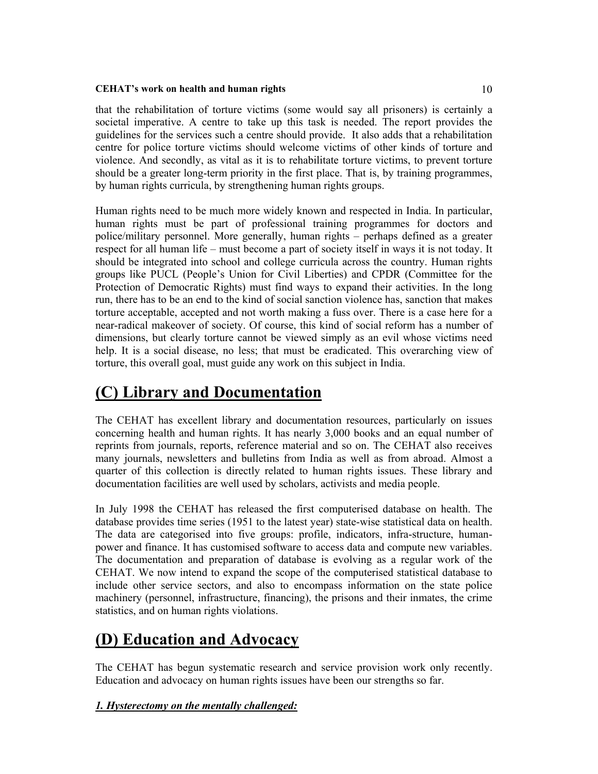that the rehabilitation of torture victims (some would say all prisoners) is certainly a societal imperative. A centre to take up this task is needed. The report provides the guidelines for the services such a centre should provide. It also adds that a rehabilitation centre for police torture victims should welcome victims of other kinds of torture and violence. And secondly, as vital as it is to rehabilitate torture victims, to prevent torture should be a greater long-term priority in the first place. That is, by training programmes, by human rights curricula, by strengthening human rights groups.

Human rights need to be much more widely known and respected in India. In particular, human rights must be part of professional training programmes for doctors and police/military personnel. More generally, human rights – perhaps defined as a greater respect for all human life – must become a part of society itself in ways it is not today. It should be integrated into school and college curricula across the country. Human rights groups like PUCL (People's Union for Civil Liberties) and CPDR (Committee for the Protection of Democratic Rights) must find ways to expand their activities. In the long run, there has to be an end to the kind of social sanction violence has, sanction that makes torture acceptable, accepted and not worth making a fuss over. There is a case here for a near-radical makeover of society. Of course, this kind of social reform has a number of dimensions, but clearly torture cannot be viewed simply as an evil whose victims need help. It is a social disease, no less; that must be eradicated. This overarching view of torture, this overall goal, must guide any work on this subject in India.

### **(C) Library and Documentation**

The CEHAT has excellent library and documentation resources, particularly on issues concerning health and human rights. It has nearly 3,000 books and an equal number of reprints from journals, reports, reference material and so on. The CEHAT also receives many journals, newsletters and bulletins from India as well as from abroad. Almost a quarter of this collection is directly related to human rights issues. These library and documentation facilities are well used by scholars, activists and media people.

In July 1998 the CEHAT has released the first computerised database on health. The database provides time series (1951 to the latest year) state-wise statistical data on health. The data are categorised into five groups: profile, indicators, infra-structure, humanpower and finance. It has customised software to access data and compute new variables. The documentation and preparation of database is evolving as a regular work of the CEHAT. We now intend to expand the scope of the computerised statistical database to include other service sectors, and also to encompass information on the state police machinery (personnel, infrastructure, financing), the prisons and their inmates, the crime statistics, and on human rights violations.

# **(D) Education and Advocacy**

The CEHAT has begun systematic research and service provision work only recently. Education and advocacy on human rights issues have been our strengths so far.

### *1. Hysterectomy on the mentally challenged:*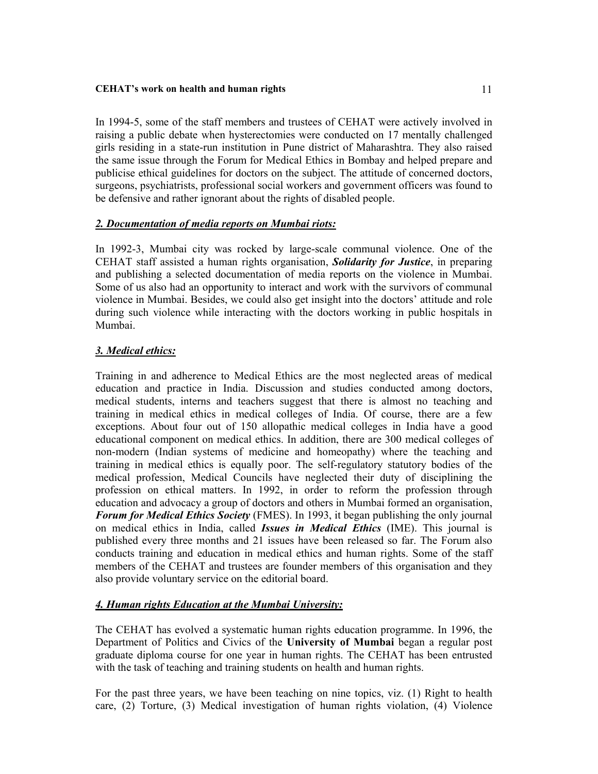In 1994-5, some of the staff members and trustees of CEHAT were actively involved in raising a public debate when hysterectomies were conducted on 17 mentally challenged girls residing in a state-run institution in Pune district of Maharashtra. They also raised the same issue through the Forum for Medical Ethics in Bombay and helped prepare and publicise ethical guidelines for doctors on the subject. The attitude of concerned doctors, surgeons, psychiatrists, professional social workers and government officers was found to be defensive and rather ignorant about the rights of disabled people.

### *2. Documentation of media reports on Mumbai riots:*

In 1992-3, Mumbai city was rocked by large-scale communal violence. One of the CEHAT staff assisted a human rights organisation, *Solidarity for Justice*, in preparing and publishing a selected documentation of media reports on the violence in Mumbai. Some of us also had an opportunity to interact and work with the survivors of communal violence in Mumbai. Besides, we could also get insight into the doctors' attitude and role during such violence while interacting with the doctors working in public hospitals in Mumbai.

### *3. Medical ethics:*

Training in and adherence to Medical Ethics are the most neglected areas of medical education and practice in India. Discussion and studies conducted among doctors, medical students, interns and teachers suggest that there is almost no teaching and training in medical ethics in medical colleges of India. Of course, there are a few exceptions. About four out of 150 allopathic medical colleges in India have a good educational component on medical ethics. In addition, there are 300 medical colleges of non-modern (Indian systems of medicine and homeopathy) where the teaching and training in medical ethics is equally poor. The self-regulatory statutory bodies of the medical profession, Medical Councils have neglected their duty of disciplining the profession on ethical matters. In 1992, in order to reform the profession through education and advocacy a group of doctors and others in Mumbai formed an organisation, *Forum for Medical Ethics Society* (FMES). In 1993, it began publishing the only journal on medical ethics in India, called *Issues in Medical Ethics* (IME). This journal is published every three months and 21 issues have been released so far. The Forum also conducts training and education in medical ethics and human rights. Some of the staff members of the CEHAT and trustees are founder members of this organisation and they also provide voluntary service on the editorial board.

### *4. Human rights Education at the Mumbai University:*

The CEHAT has evolved a systematic human rights education programme. In 1996, the Department of Politics and Civics of the **University of Mumbai** began a regular post graduate diploma course for one year in human rights. The CEHAT has been entrusted with the task of teaching and training students on health and human rights.

For the past three years, we have been teaching on nine topics, viz. (1) Right to health care, (2) Torture, (3) Medical investigation of human rights violation, (4) Violence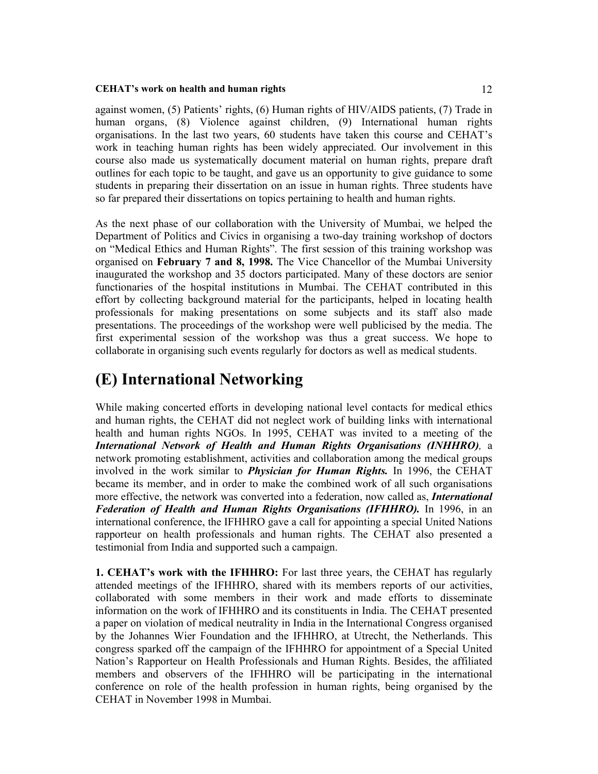against women, (5) Patients' rights, (6) Human rights of HIV/AIDS patients, (7) Trade in human organs, (8) Violence against children, (9) International human rights organisations. In the last two years, 60 students have taken this course and CEHAT's work in teaching human rights has been widely appreciated. Our involvement in this course also made us systematically document material on human rights, prepare draft outlines for each topic to be taught, and gave us an opportunity to give guidance to some students in preparing their dissertation on an issue in human rights. Three students have so far prepared their dissertations on topics pertaining to health and human rights.

As the next phase of our collaboration with the University of Mumbai, we helped the Department of Politics and Civics in organising a two-day training workshop of doctors on "Medical Ethics and Human Rights". The first session of this training workshop was organised on **February 7 and 8, 1998.** The Vice Chancellor of the Mumbai University inaugurated the workshop and 35 doctors participated. Many of these doctors are senior functionaries of the hospital institutions in Mumbai. The CEHAT contributed in this effort by collecting background material for the participants, helped in locating health professionals for making presentations on some subjects and its staff also made presentations. The proceedings of the workshop were well publicised by the media. The first experimental session of the workshop was thus a great success. We hope to collaborate in organising such events regularly for doctors as well as medical students.

## **(E) International Networking**

While making concerted efforts in developing national level contacts for medical ethics and human rights, the CEHAT did not neglect work of building links with international health and human rights NGOs. In 1995, CEHAT was invited to a meeting of the *International Network of Health and Human Rights Organisations (INHHRO),* a network promoting establishment, activities and collaboration among the medical groups involved in the work similar to *Physician for Human Rights.* In 1996, the CEHAT became its member, and in order to make the combined work of all such organisations more effective, the network was converted into a federation, now called as, *International Federation of Health and Human Rights Organisations (IFHHRO).* In 1996, in an international conference, the IFHHRO gave a call for appointing a special United Nations rapporteur on health professionals and human rights. The CEHAT also presented a testimonial from India and supported such a campaign.

**1. CEHAT's work with the IFHHRO:** For last three years, the CEHAT has regularly attended meetings of the IFHHRO, shared with its members reports of our activities, collaborated with some members in their work and made efforts to disseminate information on the work of IFHHRO and its constituents in India. The CEHAT presented a paper on violation of medical neutrality in India in the International Congress organised by the Johannes Wier Foundation and the IFHHRO, at Utrecht, the Netherlands. This congress sparked off the campaign of the IFHHRO for appointment of a Special United Nation's Rapporteur on Health Professionals and Human Rights. Besides, the affiliated members and observers of the IFHHRO will be participating in the international conference on role of the health profession in human rights, being organised by the CEHAT in November 1998 in Mumbai.